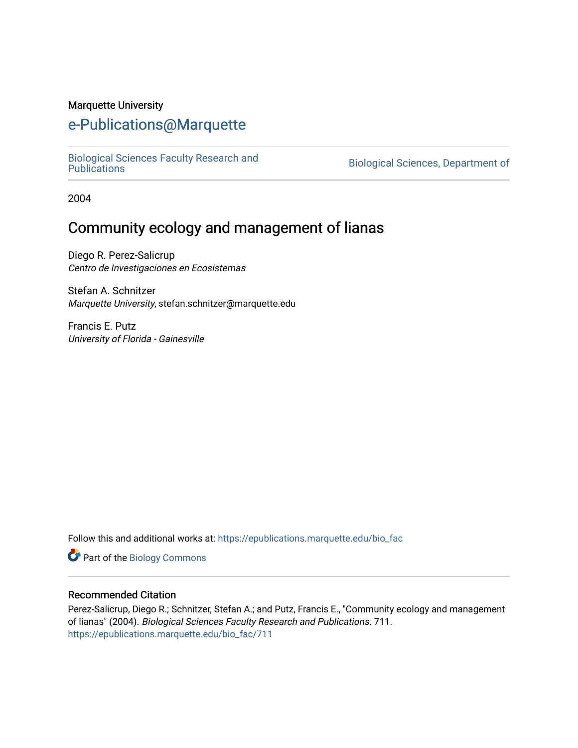#### Marquette University

## [e-Publications@Marquette](https://epublications.marquette.edu/)

[Biological Sciences Faculty Research and](https://epublications.marquette.edu/bio_fac) 

Biological Sciences, Department of

2004

# Community ecology and management of lianas

Diego R. Perez-Salicrup Centro de Investigaciones en Ecosistemas

Stefan A. Schnitzer Marquette University, stefan.schnitzer@marquette.edu

Francis E. Putz University of Florida - Gainesville

Follow this and additional works at: [https://epublications.marquette.edu/bio\\_fac](https://epublications.marquette.edu/bio_fac?utm_source=epublications.marquette.edu%2Fbio_fac%2F711&utm_medium=PDF&utm_campaign=PDFCoverPages) 

**Part of the Biology Commons** 

### Recommended Citation

Perez-Salicrup, Diego R.; Schnitzer, Stefan A.; and Putz, Francis E., "Community ecology and management of lianas" (2004). Biological Sciences Faculty Research and Publications. 711. [https://epublications.marquette.edu/bio\\_fac/711](https://epublications.marquette.edu/bio_fac/711?utm_source=epublications.marquette.edu%2Fbio_fac%2F711&utm_medium=PDF&utm_campaign=PDFCoverPages)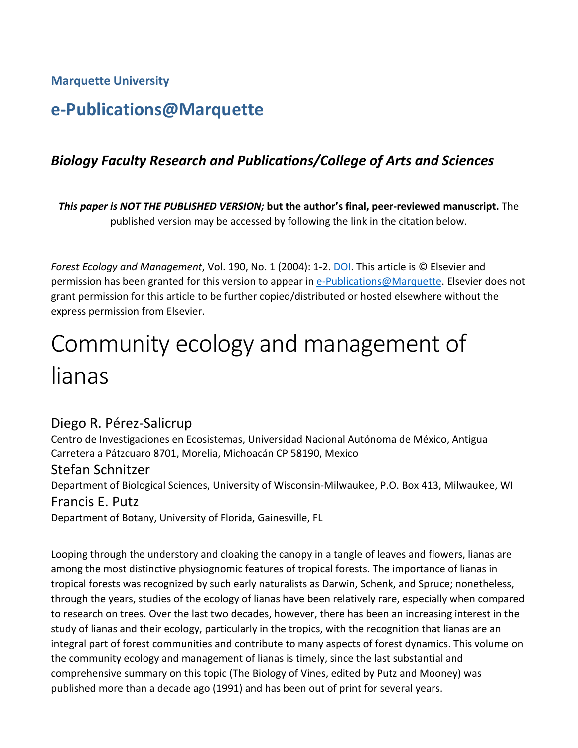**Marquette University**

# **e-Publications@Marquette**

# *Biology Faculty Research and Publications/College of Arts and Sciences*

*This paper is NOT THE PUBLISHED VERSION;* **but the author's final, peer-reviewed manuscript.** The published version may be accessed by following the link in the citation below.

*Forest Ecology and Management*, Vol. 190, No. 1 (2004): 1-2. [DOI.](https://dx.doi.org/10.1016/j.foreco.2003.10.001) This article is © Elsevier and permission has been granted for this version to appear in [e-Publications@Marquette.](http://epublications.marquette.edu/) Elsevier does not grant permission for this article to be further copied/distributed or hosted elsewhere without the express permission from Elsevier.

# Community ecology and management of lianas

## [Diego R. Pérez-Salicrup](https://www.sciencedirect.com/science/article/pii/S0378112703004626#!)

Centro de Investigaciones en Ecosistemas, Universidad Nacional Autónoma de México, Antigua Carretera a Pátzcuaro 8701, Morelia, Michoacán CP 58190, Mexico

## [Stefan Schnitzer](https://www.sciencedirect.com/science/article/pii/S0378112703004626#!)

Department of Biological Sciences, University of Wisconsin-Milwaukee, P.O. Box 413, Milwaukee, WI [Francis E. Putz](https://www.sciencedirect.com/science/article/pii/S0378112703004626#!)

Department of Botany, University of Florida, Gainesville, FL

Looping through the understory and cloaking the canopy in a tangle of leaves and flowers, lianas are among the most distinctive physiognomic features of tropical forests. The importance of lianas in tropical forests was recognized by such early naturalists as Darwin, Schenk, and Spruce; nonetheless, through the years, studies of the ecology of lianas have been relatively rare, especially when compared to research on trees. Over the last two decades, however, there has been an increasing interest in the study of lianas and their ecology, particularly in the tropics, with the recognition that lianas are an integral part of forest communities and contribute to many aspects of forest dynamics. This volume on the community ecology and management of lianas is timely, since the last substantial and comprehensive summary on this topic (The Biology of Vines, edited by Putz and Mooney) was published more than a decade ago (1991) and has been out of print for several years.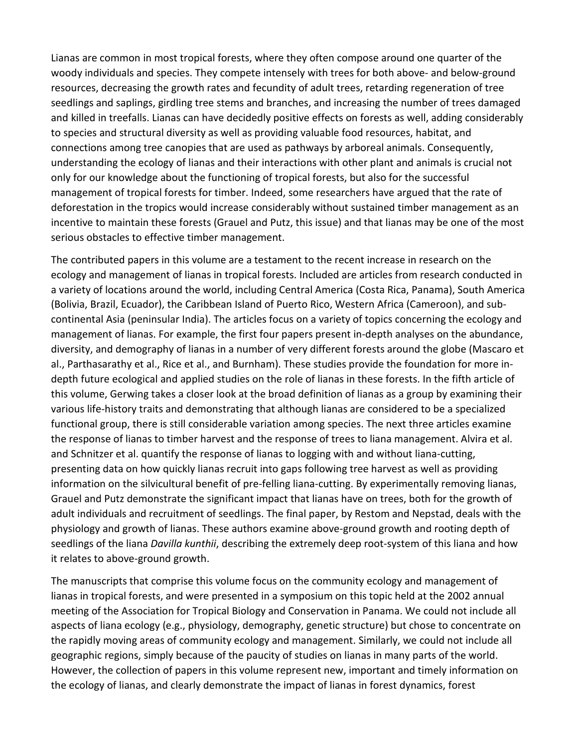Lianas are common in most tropical forests, where they often compose around one quarter of the woody individuals and species. They compete intensely with trees for both above- and below-ground resources, decreasing the growth rates and fecundity of adult trees, retarding regeneration of tree seedlings and saplings, girdling tree stems and branches, and increasing the number of trees damaged and killed in treefalls. Lianas can have decidedly positive effects on forests as well, adding considerably to species and structural diversity as well as providing valuable food resources, habitat, and connections among tree canopies that are used as pathways by arboreal animals. Consequently, understanding the ecology of lianas and their interactions with other plant and animals is crucial not only for our knowledge about the functioning of tropical forests, but also for the successful management of tropical forests for timber. Indeed, some researchers have argued that the rate of deforestation in the tropics would increase considerably without sustained timber management as an incentive to maintain these forests (Grauel and Putz, this issue) and that lianas may be one of the most serious obstacles to effective timber management.

The contributed papers in this volume are a testament to the recent increase in research on the ecology and management of lianas in tropical forests. Included are articles from research conducted in a variety of locations around the world, including Central America (Costa Rica, Panama), South America (Bolivia, Brazil, Ecuador), the Caribbean Island of Puerto Rico, Western Africa (Cameroon), and subcontinental Asia (peninsular India). The articles focus on a variety of topics concerning the ecology and management of lianas. For example, the first four papers present in-depth analyses on the abundance, diversity, and demography of lianas in a number of very different forests around the globe (Mascaro et al., Parthasarathy et al., Rice et al., and Burnham). These studies provide the foundation for more indepth future ecological and applied studies on the role of lianas in these forests. In the fifth article of this volume, Gerwing takes a closer look at the broad definition of lianas as a group by examining their various life-history traits and demonstrating that although lianas are considered to be a specialized functional group, there is still considerable variation among species. The next three articles examine the response of lianas to timber harvest and the response of trees to liana management. Alvira et al. and Schnitzer et al. quantify the response of lianas to logging with and without liana-cutting, presenting data on how quickly lianas recruit into gaps following tree harvest as well as providing information on the silvicultural benefit of pre-felling liana-cutting. By experimentally removing lianas, Grauel and Putz demonstrate the significant impact that lianas have on trees, both for the growth of adult individuals and recruitment of seedlings. The final paper, by Restom and Nepstad, deals with the physiology and growth of lianas. These authors examine above-ground growth and rooting depth of seedlings of the liana *Davilla kunthii*, describing the extremely deep root-system of this liana and how it relates to above-ground growth.

The manuscripts that comprise this volume focus on the community ecology and management of lianas in tropical forests, and were presented in a symposium on this topic held at the 2002 annual meeting of the Association for Tropical Biology and Conservation in Panama. We could not include all aspects of liana ecology (e.g., physiology, demography, genetic structure) but chose to concentrate on the rapidly moving areas of community ecology and management. Similarly, we could not include all geographic regions, simply because of the paucity of studies on lianas in many parts of the world. However, the collection of papers in this volume represent new, important and timely information on the ecology of lianas, and clearly demonstrate the impact of lianas in forest dynamics, forest